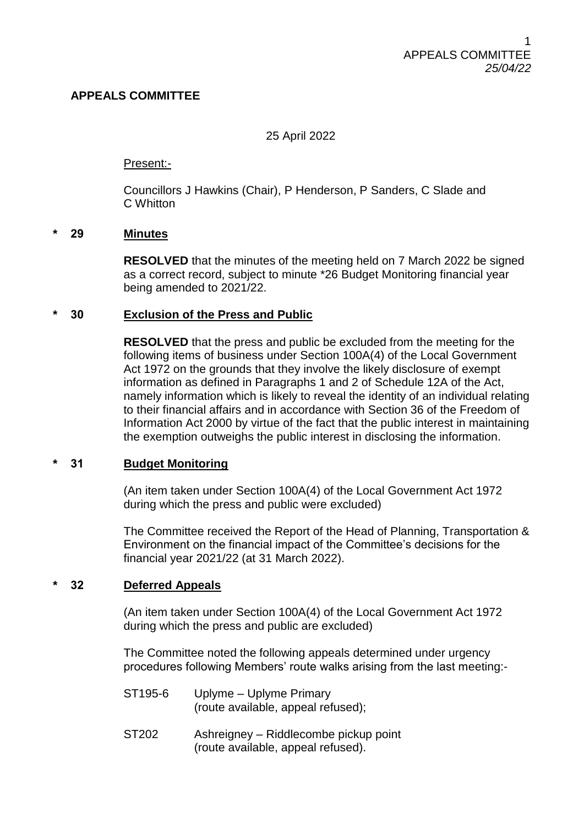# **APPEALS COMMITTEE**

25 April 2022

Present:-

Councillors J Hawkins (Chair), P Henderson, P Sanders, C Slade and C Whitton

### **\* 29 Minutes**

**RESOLVED** that the minutes of the meeting held on 7 March 2022 be signed as a correct record, subject to minute \*26 Budget Monitoring financial year being amended to 2021/22.

### **\* 30 Exclusion of the Press and Public**

**RESOLVED** that the press and public be excluded from the meeting for the following items of business under Section 100A(4) of the Local Government Act 1972 on the grounds that they involve the likely disclosure of exempt information as defined in Paragraphs 1 and 2 of Schedule 12A of the Act, namely information which is likely to reveal the identity of an individual relating to their financial affairs and in accordance with Section 36 of the Freedom of Information Act 2000 by virtue of the fact that the public interest in maintaining the exemption outweighs the public interest in disclosing the information.

# **\* 31 Budget Monitoring**

(An item taken under Section 100A(4) of the Local Government Act 1972 during which the press and public were excluded)

The Committee received the Report of the Head of Planning, Transportation & Environment on the financial impact of the Committee's decisions for the financial year 2021/22 (at 31 March 2022).

# **\* 32 Deferred Appeals**

(An item taken under Section 100A(4) of the Local Government Act 1972 during which the press and public are excluded)

The Committee noted the following appeals determined under urgency procedures following Members' route walks arising from the last meeting:-

- ST195-6 Uplyme Uplyme Primary (route available, appeal refused);
- ST202 Ashreigney Riddlecombe pickup point (route available, appeal refused).